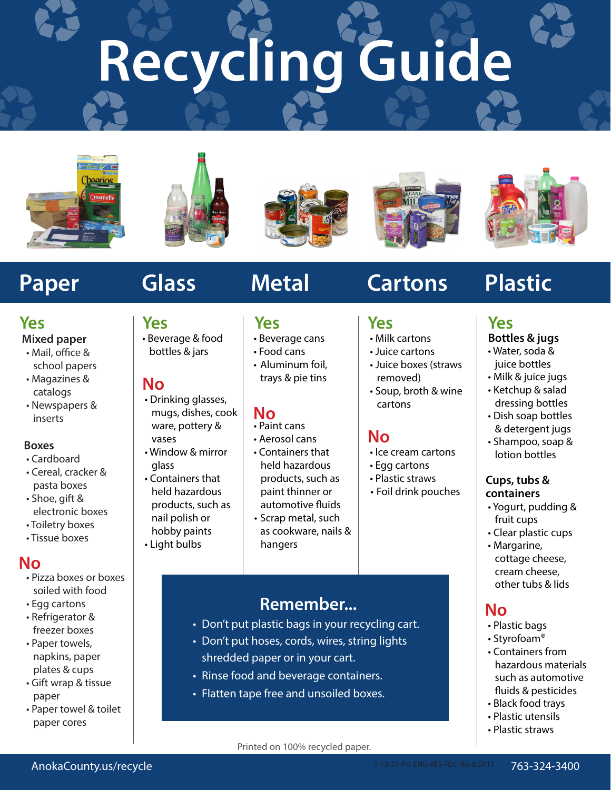# **Recycling Guide**





**Yes**

**No**

vases

glass

• Beverage & food bottles & jars

 • Drinking glasses, mugs, dishes, cook ware, pottery &

• Window & mirror

 • Containers that held hazardous products, such as nail polish or hobby paints • Light bulbs







# **Yes**

### **Mixed paper**

- Mail, office & school papers
- Magazines & catalogs
- Newspapers & inserts

### **Boxes**

- Cardboard
- Cereal, cracker & pasta boxes
- Shoe, gift & electronic boxes
- Toiletry boxes • Tissue boxes
- 

## **No**

- Pizza boxes or boxes soiled with food
- Egg cartons
- Refrigerator & freezer boxes
- Paper towels, napkins, paper plates & cups
- Gift wrap & tissue paper
- Paper towel & toilet paper cores

- **Yes**
- Beverage cans
- Food cans
- Aluminum foil, trays & pie tins

## **No**

- Paint cans
- Aerosol cans
- Containers that held hazardous products, such as paint thinner or automotive fluids
- Scrap metal, such as cookware, nails & hangers

# **Remember...**

- Don't put plastic bags in your recycling cart.
- Don't put hoses, cords, wires, string lights
- shredded paper or in your cart.
- Rinse food and beverage containers.
- Flatten tape free and unsoiled boxes.

# Paper Glass Metal Cartons Plastic

# **Yes**

- Milk cartons
- Juice cartons
- Juice boxes (straws removed)
- Soup, broth & wine cartons

## **No**

- Ice cream cartons
- Egg cartons
- Plastic straws
- Foil drink pouches

### **Yes Bottles & jugs**

- Water, soda & juice bottles
- Milk & juice jugs
- Ketchup & salad dressing bottles
- Dish soap bottles & detergent jugs
- Shampoo, soap & lotion bottles

### **Cups, tubs & containers**

- Yogurt, pudding & fruit cups
- Clear plastic cups
- Margarine, cottage cheese, cream cheese, other tubs & lids

# **No**

- Plastic bags
- Styrofoam®
- Containers from hazardous materials such as automotive fluids & pesticides
- Black food trays
- Plastic utensils
- Plastic straws